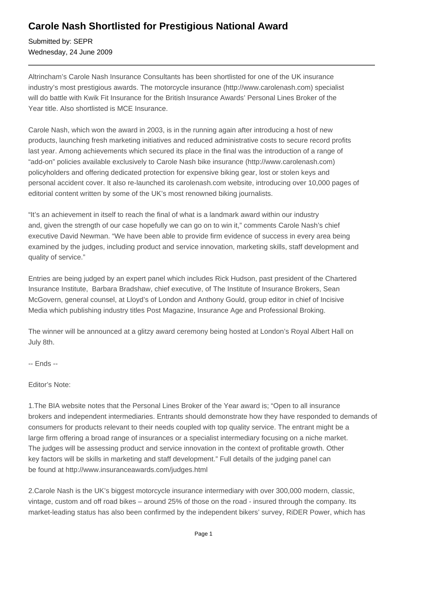## **Carole Nash Shortlisted for Prestigious National Award**

Submitted by: SEPR Wednesday, 24 June 2009

Altrincham's Carole Nash Insurance Consultants has been shortlisted for one of the UK insurance industry's most prestigious awards. The motorcycle insurance (http://www.carolenash.com) specialist will do battle with Kwik Fit Insurance for the British Insurance Awards' Personal Lines Broker of the Year title. Also shortlisted is MCE Insurance.

Carole Nash, which won the award in 2003, is in the running again after introducing a host of new products, launching fresh marketing initiatives and reduced administrative costs to secure record profits last year. Among achievements which secured its place in the final was the introduction of a range of "add-on" policies available exclusively to Carole Nash bike insurance (http://www.carolenash.com) policyholders and offering dedicated protection for expensive biking gear, lost or stolen keys and personal accident cover. It also re-launched its carolenash.com website, introducing over 10,000 pages of editorial content written by some of the UK's most renowned biking journalists.

"It's an achievement in itself to reach the final of what is a landmark award within our industry and, given the strength of our case hopefully we can go on to win it," comments Carole Nash's chief executive David Newman. "We have been able to provide firm evidence of success in every area being examined by the judges, including product and service innovation, marketing skills, staff development and quality of service."

Entries are being judged by an expert panel which includes Rick Hudson, past president of the Chartered Insurance Institute, Barbara Bradshaw, chief executive, of The Institute of Insurance Brokers, Sean McGovern, general counsel, at Lloyd's of London and Anthony Gould, group editor in chief of Incisive Media which publishing industry titles Post Magazine, Insurance Age and Professional Broking.

The winner will be announced at a glitzy award ceremony being hosted at London's Royal Albert Hall on July 8th.

-- Ends --

## Editor's Note:

1.The BIA website notes that the Personal Lines Broker of the Year award is; "Open to all insurance brokers and independent intermediaries. Entrants should demonstrate how they have responded to demands of consumers for products relevant to their needs coupled with top quality service. The entrant might be a large firm offering a broad range of insurances or a specialist intermediary focusing on a niche market. The judges will be assessing product and service innovation in the context of profitable growth. Other key factors will be skills in marketing and staff development." Full details of the judging panel can be found at http://www.insuranceawards.com/judges.html

2.Carole Nash is the UK's biggest motorcycle insurance intermediary with over 300,000 modern, classic, vintage, custom and off road bikes – around 25% of those on the road - insured through the company. Its market-leading status has also been confirmed by the independent bikers' survey, RiDER Power, which has